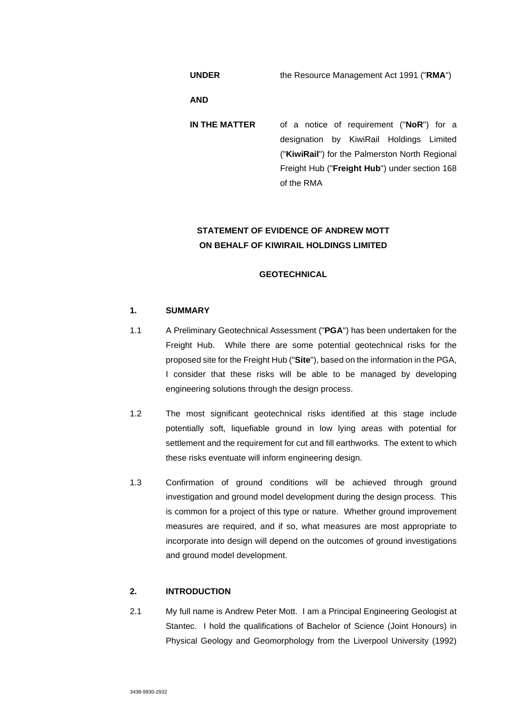**UNDER** the Resource Management Act 1991 ("**RMA**")

**AND** 

**IN THE MATTER** of a notice of requirement ("**NoR**") for a designation by KiwiRail Holdings Limited ("**KiwiRail**") for the Palmerston North Regional Freight Hub ("**Freight Hub**") under section 168 of the RMA

# **STATEMENT OF EVIDENCE OF ANDREW MOTT ON BEHALF OF KIWIRAIL HOLDINGS LIMITED**

# **GEOTECHNICAL**

# **1. SUMMARY**

- 1.1 A Preliminary Geotechnical Assessment ("**PGA**") has been undertaken for the Freight Hub. While there are some potential geotechnical risks for the proposed site for the Freight Hub ("**Site**"), based on the information in the PGA, I consider that these risks will be able to be managed by developing engineering solutions through the design process.
- 1.2 The most significant geotechnical risks identified at this stage include potentially soft, liquefiable ground in low lying areas with potential for settlement and the requirement for cut and fill earthworks. The extent to which these risks eventuate will inform engineering design.
- 1.3 Confirmation of ground conditions will be achieved through ground investigation and ground model development during the design process. This is common for a project of this type or nature. Whether ground improvement measures are required, and if so, what measures are most appropriate to incorporate into design will depend on the outcomes of ground investigations and ground model development.

### **2. INTRODUCTION**

2.1 My full name is Andrew Peter Mott. I am a Principal Engineering Geologist at Stantec. I hold the qualifications of Bachelor of Science (Joint Honours) in Physical Geology and Geomorphology from the Liverpool University (1992)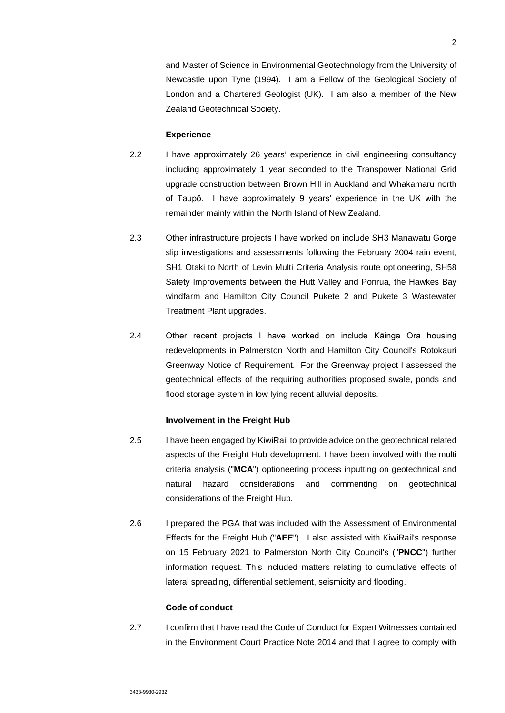and Master of Science in Environmental Geotechnology from the University of Newcastle upon Tyne (1994). I am a Fellow of the Geological Society of London and a Chartered Geologist (UK). I am also a member of the New Zealand Geotechnical Society.

### **Experience**

- 2.2 I have approximately 26 years' experience in civil engineering consultancy including approximately 1 year seconded to the Transpower National Grid upgrade construction between Brown Hill in Auckland and Whakamaru north of Taupō. I have approximately 9 years' experience in the UK with the remainder mainly within the North Island of New Zealand.
- 2.3 Other infrastructure projects I have worked on include SH3 Manawatu Gorge slip investigations and assessments following the February 2004 rain event, SH1 Otaki to North of Levin Multi Criteria Analysis route optioneering, SH58 Safety Improvements between the Hutt Valley and Porirua, the Hawkes Bay windfarm and Hamilton City Council Pukete 2 and Pukete 3 Wastewater Treatment Plant upgrades.
- 2.4 Other recent projects I have worked on include Kāinga Ora housing redevelopments in Palmerston North and Hamilton City Council's Rotokauri Greenway Notice of Requirement. For the Greenway project I assessed the geotechnical effects of the requiring authorities proposed swale, ponds and flood storage system in low lying recent alluvial deposits.

### **Involvement in the Freight Hub**

- 2.5 I have been engaged by KiwiRail to provide advice on the geotechnical related aspects of the Freight Hub development. I have been involved with the multi criteria analysis ("**MCA**") optioneering process inputting on geotechnical and natural hazard considerations and commenting on geotechnical considerations of the Freight Hub.
- 2.6 I prepared the PGA that was included with the Assessment of Environmental Effects for the Freight Hub ("**AEE**"). I also assisted with KiwiRail's response on 15 February 2021 to Palmerston North City Council's ("**PNCC**") further information request. This included matters relating to cumulative effects of lateral spreading, differential settlement, seismicity and flooding.

### **Code of conduct**

2.7 I confirm that I have read the Code of Conduct for Expert Witnesses contained in the Environment Court Practice Note 2014 and that I agree to comply with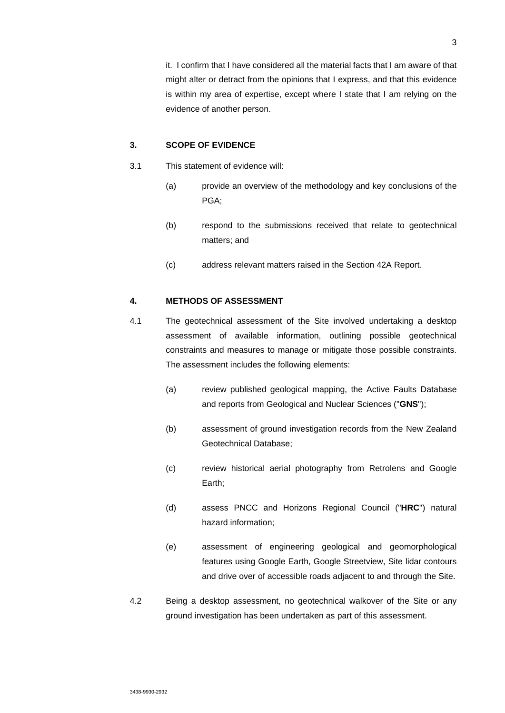it. I confirm that I have considered all the material facts that I am aware of that might alter or detract from the opinions that I express, and that this evidence is within my area of expertise, except where I state that I am relying on the evidence of another person.

### **3. SCOPE OF EVIDENCE**

- 3.1 This statement of evidence will:
	- (a) provide an overview of the methodology and key conclusions of the PGA;
	- (b) respond to the submissions received that relate to geotechnical matters; and
	- (c) address relevant matters raised in the Section 42A Report.

# **4. METHODS OF ASSESSMENT**

- 4.1 The geotechnical assessment of the Site involved undertaking a desktop assessment of available information, outlining possible geotechnical constraints and measures to manage or mitigate those possible constraints. The assessment includes the following elements:
	- (a) review published geological mapping, the Active Faults Database and reports from Geological and Nuclear Sciences ("**GNS**");
	- (b) assessment of ground investigation records from the New Zealand Geotechnical Database;
	- (c) review historical aerial photography from Retrolens and Google Earth;
	- (d) assess PNCC and Horizons Regional Council ("**HRC**") natural hazard information;
	- (e) assessment of engineering geological and geomorphological features using Google Earth, Google Streetview, Site lidar contours and drive over of accessible roads adjacent to and through the Site.
- 4.2 Being a desktop assessment, no geotechnical walkover of the Site or any ground investigation has been undertaken as part of this assessment.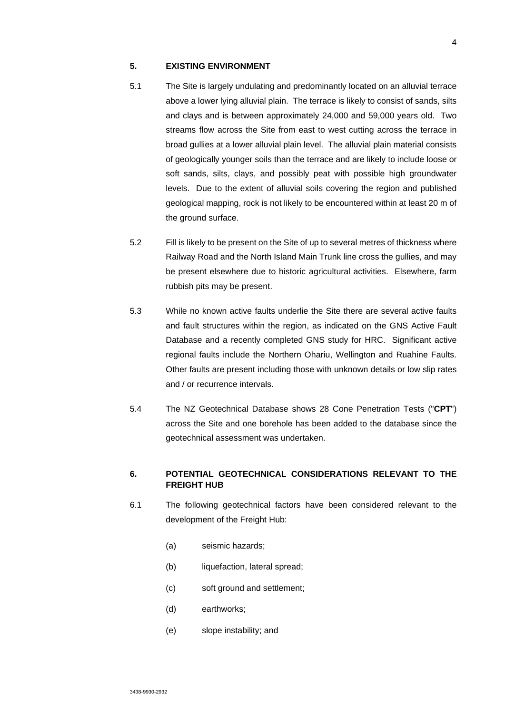### **5. EXISTING ENVIRONMENT**

- 5.1 The Site is largely undulating and predominantly located on an alluvial terrace above a lower lying alluvial plain. The terrace is likely to consist of sands, silts and clays and is between approximately 24,000 and 59,000 years old. Two streams flow across the Site from east to west cutting across the terrace in broad gullies at a lower alluvial plain level. The alluvial plain material consists of geologically younger soils than the terrace and are likely to include loose or soft sands, silts, clays, and possibly peat with possible high groundwater levels. Due to the extent of alluvial soils covering the region and published geological mapping, rock is not likely to be encountered within at least 20 m of the ground surface.
- 5.2 Fill is likely to be present on the Site of up to several metres of thickness where Railway Road and the North Island Main Trunk line cross the gullies, and may be present elsewhere due to historic agricultural activities. Elsewhere, farm rubbish pits may be present.
- 5.3 While no known active faults underlie the Site there are several active faults and fault structures within the region, as indicated on the GNS Active Fault Database and a recently completed GNS study for HRC. Significant active regional faults include the Northern Ohariu, Wellington and Ruahine Faults. Other faults are present including those with unknown details or low slip rates and / or recurrence intervals.
- 5.4 The NZ Geotechnical Database shows 28 Cone Penetration Tests ("**CPT**") across the Site and one borehole has been added to the database since the geotechnical assessment was undertaken.

# **6. POTENTIAL GEOTECHNICAL CONSIDERATIONS RELEVANT TO THE FREIGHT HUB**

- 6.1 The following geotechnical factors have been considered relevant to the development of the Freight Hub:
	- (a) seismic hazards;
	- (b) liquefaction, lateral spread;
	- (c) soft ground and settlement;
	- (d) earthworks;
	- (e) slope instability; and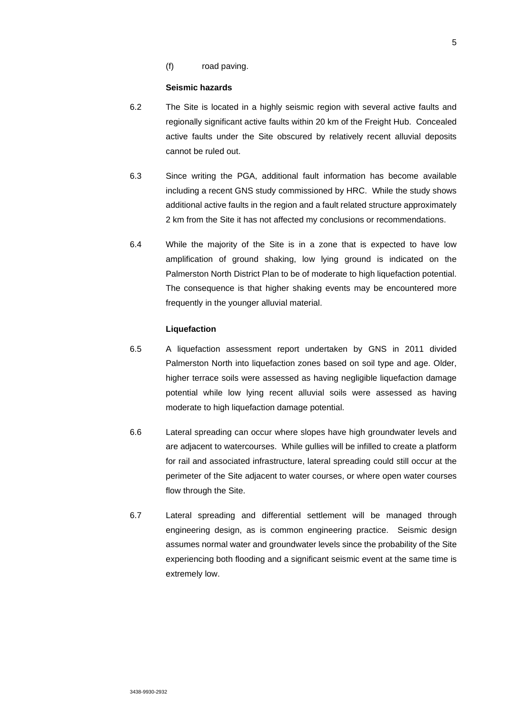(f) road paving.

#### **Seismic hazards**

- 6.2 The Site is located in a highly seismic region with several active faults and regionally significant active faults within 20 km of the Freight Hub. Concealed active faults under the Site obscured by relatively recent alluvial deposits cannot be ruled out.
- 6.3 Since writing the PGA, additional fault information has become available including a recent GNS study commissioned by HRC. While the study shows additional active faults in the region and a fault related structure approximately 2 km from the Site it has not affected my conclusions or recommendations.
- 6.4 While the majority of the Site is in a zone that is expected to have low amplification of ground shaking, low lying ground is indicated on the Palmerston North District Plan to be of moderate to high liquefaction potential. The consequence is that higher shaking events may be encountered more frequently in the younger alluvial material.

### **Liquefaction**

- 6.5 A liquefaction assessment report undertaken by GNS in 2011 divided Palmerston North into liquefaction zones based on soil type and age. Older, higher terrace soils were assessed as having negligible liquefaction damage potential while low lying recent alluvial soils were assessed as having moderate to high liquefaction damage potential.
- 6.6 Lateral spreading can occur where slopes have high groundwater levels and are adjacent to watercourses. While gullies will be infilled to create a platform for rail and associated infrastructure, lateral spreading could still occur at the perimeter of the Site adjacent to water courses, or where open water courses flow through the Site.
- 6.7 Lateral spreading and differential settlement will be managed through engineering design, as is common engineering practice. Seismic design assumes normal water and groundwater levels since the probability of the Site experiencing both flooding and a significant seismic event at the same time is extremely low.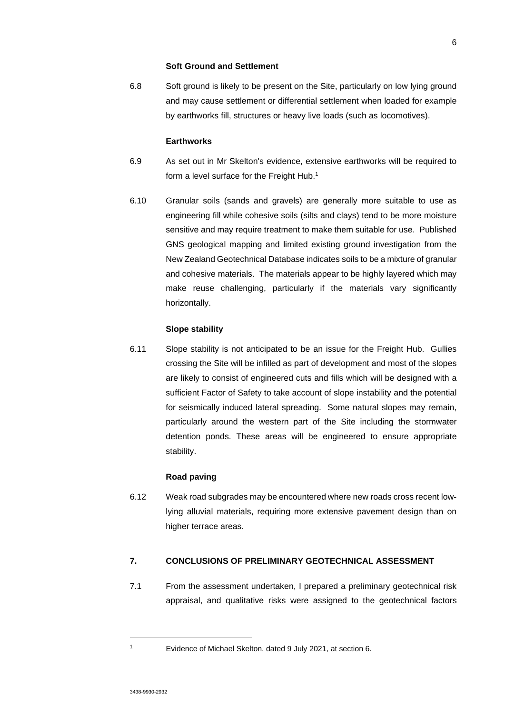### **Soft Ground and Settlement**

6.8 Soft ground is likely to be present on the Site, particularly on low lying ground and may cause settlement or differential settlement when loaded for example by earthworks fill, structures or heavy live loads (such as locomotives).

### **Earthworks**

- 6.9 As set out in Mr Skelton's evidence, extensive earthworks will be required to form a level surface for the Freight Hub.<sup>1</sup>
- 6.10 Granular soils (sands and gravels) are generally more suitable to use as engineering fill while cohesive soils (silts and clays) tend to be more moisture sensitive and may require treatment to make them suitable for use. Published GNS geological mapping and limited existing ground investigation from the New Zealand Geotechnical Database indicates soils to be a mixture of granular and cohesive materials. The materials appear to be highly layered which may make reuse challenging, particularly if the materials vary significantly horizontally.

### **Slope stability**

6.11 Slope stability is not anticipated to be an issue for the Freight Hub. Gullies crossing the Site will be infilled as part of development and most of the slopes are likely to consist of engineered cuts and fills which will be designed with a sufficient Factor of Safety to take account of slope instability and the potential for seismically induced lateral spreading. Some natural slopes may remain, particularly around the western part of the Site including the stormwater detention ponds. These areas will be engineered to ensure appropriate stability.

### **Road paving**

6.12 Weak road subgrades may be encountered where new roads cross recent lowlying alluvial materials, requiring more extensive pavement design than on higher terrace areas.

# **7. CONCLUSIONS OF PRELIMINARY GEOTECHNICAL ASSESSMENT**

7.1 From the assessment undertaken, I prepared a preliminary geotechnical risk appraisal, and qualitative risks were assigned to the geotechnical factors

<sup>1</sup> Evidence of Michael Skelton, dated 9 July 2021, at section 6.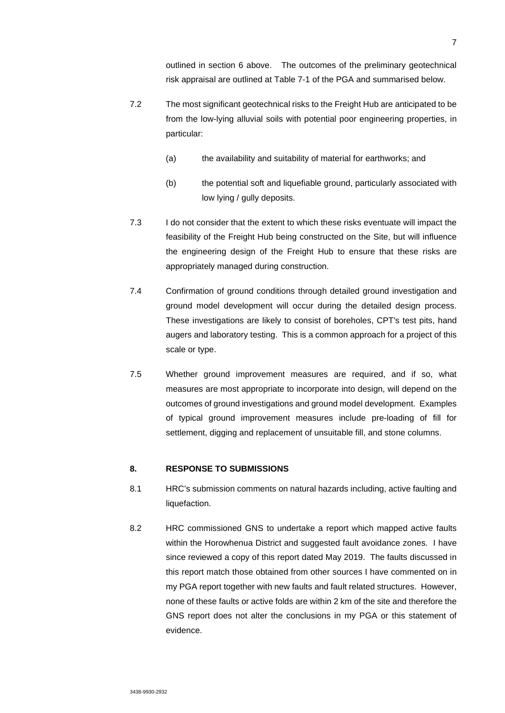outlined in section 6 above. The outcomes of the preliminary geotechnical risk appraisal are outlined at Table 7-1 of the PGA and summarised below.

- 7.2 The most significant geotechnical risks to the Freight Hub are anticipated to be from the low-lying alluvial soils with potential poor engineering properties, in particular:
	- (a) the availability and suitability of material for earthworks; and
	- (b) the potential soft and liquefiable ground, particularly associated with low lying / gully deposits.
- 7.3 I do not consider that the extent to which these risks eventuate will impact the feasibility of the Freight Hub being constructed on the Site, but will influence the engineering design of the Freight Hub to ensure that these risks are appropriately managed during construction.
- 7.4 Confirmation of ground conditions through detailed ground investigation and ground model development will occur during the detailed design process. These investigations are likely to consist of boreholes, CPT's test pits, hand augers and laboratory testing. This is a common approach for a project of this scale or type.
- 7.5 Whether ground improvement measures are required, and if so, what measures are most appropriate to incorporate into design, will depend on the outcomes of ground investigations and ground model development. Examples of typical ground improvement measures include pre-loading of fill for settlement, digging and replacement of unsuitable fill, and stone columns.

### **8. RESPONSE TO SUBMISSIONS**

- 8.1 HRC's submission comments on natural hazards including, active faulting and liquefaction.
- 8.2 HRC commissioned GNS to undertake a report which mapped active faults within the Horowhenua District and suggested fault avoidance zones. I have since reviewed a copy of this report dated May 2019. The faults discussed in this report match those obtained from other sources I have commented on in my PGA report together with new faults and fault related structures. However, none of these faults or active folds are within 2 km of the site and therefore the GNS report does not alter the conclusions in my PGA or this statement of evidence.